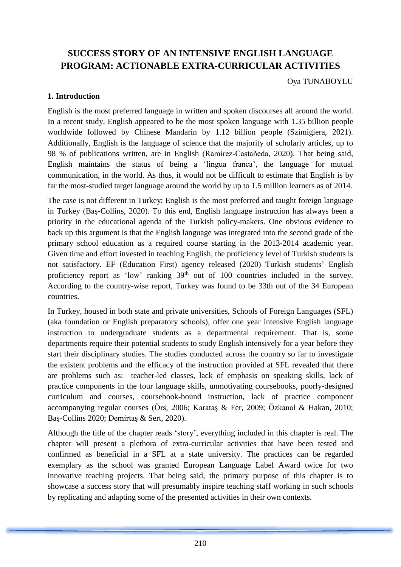# **SUCCESS STORY OF AN INTENSIVE ENGLISH LANGUAGE PROGRAM: ACTIONABLE EXTRA-CURRICULAR ACTIVITIES**

Oya TUNABOYLU

### **1. Introduction**

English is the most preferred language in written and spoken discourses all around the world. In a recent study, English appeared to be the most spoken language with 1.35 billion people worldwide followed by Chinese Mandarin by 1.12 billion people (Szimigiera, 2021). Additionally, English is the language of science that the majority of scholarly articles, up to 98 % of publications written, are in English (Ramírez-Castañeda, 2020). That being said, English maintains the status of being a 'lingua franca', the language for mutual communication, in the world. As thus, it would not be difficult to estimate that English is by far the most-studied target language around the world by up to 1.5 million learners as of 2014.

The case is not different in Turkey; English is the most preferred and taught foreign language in Turkey (Baş-Collins, 2020). To this end, English language instruction has always been a priority in the educational agenda of the Turkish policy-makers. One obvious evidence to back up this argument is that the English language was integrated into the second grade of the primary school education as a required course starting in the 2013-2014 academic year. Given time and effort invested in teaching English, the proficiency level of Turkish students is not satisfactory. EF (Education First) agency released (2020) Turkish students' English proficiency report as 'low' ranking  $39<sup>th</sup>$  out of 100 countries included in the survey. According to the country-wise report, Turkey was found to be 33th out of the 34 European countries.

In Turkey, housed in both state and private universities, Schools of Foreign Languages (SFL) (aka foundation or English preparatory schools), offer one year intensive English language instruction to undergraduate students as a departmental requirement. That is, some departments require their potential students to study English intensively for a year before they start their disciplinary studies. The studies conducted across the country so far to investigate the existent problems and the efficacy of the instruction provided at SFL revealed that there are problems such as: teacher-led classes, lack of emphasis on speaking skills, lack of practice components in the four language skills, unmotivating coursebooks, poorly-designed curriculum and courses, coursebook-bound instruction, lack of practice component accompanying regular courses (Örs, 2006; Karataş & Fer, 2009; Özkanal & Hakan, 2010; Baş-Collins 2020; Demirtaş & Sert, 2020).

Although the title of the chapter reads 'story', everything included in this chapter is real. The chapter will present a plethora of extra-curricular activities that have been tested and confirmed as beneficial in a SFL at a state university. The practices can be regarded exemplary as the school was granted European Language Label Award twice for two innovative teaching projects. That being said, the primary purpose of this chapter is to showcase a success story that will presumably inspire teaching staff working in such schools by replicating and adapting some of the presented activities in their own contexts.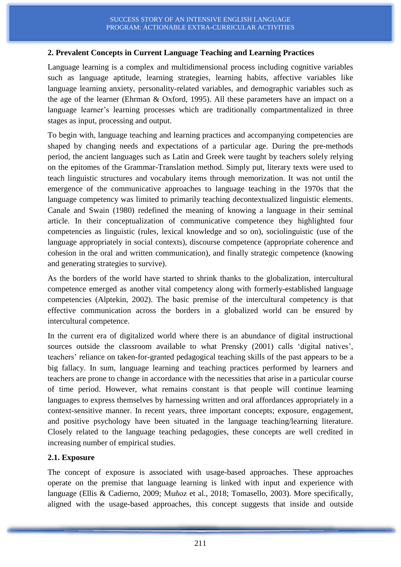### **2. Prevalent Concepts in Current Language Teaching and Learning Practices**

Language learning is a complex and multidimensional process including cognitive variables such as language aptitude, learning strategies, learning habits, affective variables like language learning anxiety, personality-related variables, and demographic variables such as the age of the learner (Ehrman & Oxford, 1995). All these parameters have an impact on a language learner's learning processes which are traditionally compartmentalized in three stages as input, processing and output.

To begin with, language teaching and learning practices and accompanying competencies are shaped by changing needs and expectations of a particular age. During the pre-methods period, the ancient languages such as Latin and Greek were taught by teachers solely relying on the epitomes of the Grammar-Translation method. Simply put, literary texts were used to teach linguistic structures and vocabulary items through memorization. It was not until the emergence of the communicative approaches to language teaching in the 1970s that the language competency was limited to primarily teaching decontextualized linguistic elements. Canale and Swain (1980) redefined the meaning of knowing a language in their seminal article. In their conceptualization of communicative competence they highlighted four competencies as linguistic (rules, lexical knowledge and so on), sociolinguistic (use of the language appropriately in social contexts), discourse competence (appropriate coherence and cohesion in the oral and written communication), and finally strategic competence (knowing and generating strategies to survive).

As the borders of the world have started to shrink thanks to the globalization, intercultural competence emerged as another vital competency along with formerly-established language competencies (Alptekin, 2002). The basic premise of the intercultural competency is that effective communication across the borders in a globalized world can be ensured by intercultural competence.

In the current era of digitalized world where there is an abundance of digital instructional sources outside the classroom available to what Prensky (2001) calls 'digital natives', teachers' reliance on taken-for-granted pedagogical teaching skills of the past appears to be a big fallacy. In sum, language learning and teaching practices performed by learners and teachers are prone to change in accordance with the necessities that arise in a particular course of time period. However, what remains constant is that people will continue learning languages to express themselves by harnessing written and oral affordances appropriately in a context-sensitive manner. In recent years, three important concepts; exposure, engagement, and positive psychology have been situated in the language teaching/learning literature. Closely related to the language teaching pedagogies, these concepts are well credited in increasing number of empirical studies.

#### **2.1. Exposure**

The concept of exposure is associated with usage-based approaches. These approaches operate on the premise that language learning is linked with input and experience with language (Ellis & Cadierno, 2009; Muñoz et al., 2018; Tomasello, 2003). More specifically, aligned with the usage-based approaches, this concept suggests that inside and outside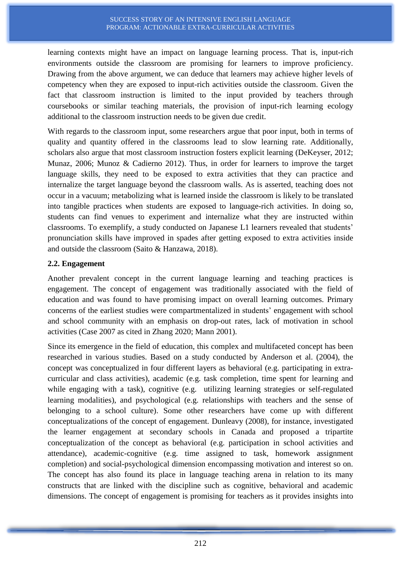learning contexts might have an impact on language learning process. That is, input-rich environments outside the classroom are promising for learners to improve proficiency. Drawing from the above argument, we can deduce that learners may achieve higher levels of competency when they are exposed to input-rich activities outside the classroom. Given the fact that classroom instruction is limited to the input provided by teachers through coursebooks or similar teaching materials, the provision of input-rich learning ecology additional to the classroom instruction needs to be given due credit.

With regards to the classroom input, some researchers argue that poor input, both in terms of quality and quantity offered in the classrooms lead to slow learning rate. Additionally, scholars also argue that most classroom instruction fosters explicit learning (DeKeyser, 2012; Munaz, 2006; Munoz & Cadierno 2012). Thus, in order for learners to improve the target language skills, they need to be exposed to extra activities that they can practice and internalize the target language beyond the classroom walls. As is asserted, teaching does not occur in a vacuum; metabolizing what is learned inside the classroom is likely to be translated into tangible practices when students are exposed to language-rich activities. In doing so, students can find venues to experiment and internalize what they are instructed within classrooms. To exemplify, a study conducted on Japanese L1 learners revealed that students' pronunciation skills have improved in spades after getting exposed to extra activities inside and outside the classroom (Saito & Hanzawa, 2018).

### **2.2. Engagement**

Another prevalent concept in the current language learning and teaching practices is engagement. The concept of engagement was traditionally associated with the field of education and was found to have promising impact on overall learning outcomes. Primary concerns of the earliest studies were compartmentalized in students' engagement with school and school community with an emphasis on drop-out rates, lack of motivation in school activities (Case 2007 as cited in Zhang 2020; Mann 2001).

Since its emergence in the field of education, this complex and multifaceted concept has been researched in various studies. Based on a study conducted by Anderson et al. (2004), the concept was conceptualized in four different layers as behavioral (e.g. participating in extracurricular and class activities), academic (e.g. task completion, time spent for learning and while engaging with a task), cognitive (e.g. utilizing learning strategies or self-regulated learning modalities), and psychological (e.g. relationships with teachers and the sense of belonging to a school culture). Some other researchers have come up with different conceptualizations of the concept of engagement. Dunleavy (2008), for instance, investigated the learner engagement at secondary schools in Canada and proposed a tripartite conceptualization of the concept as behavioral (e.g. participation in school activities and attendance), academic-cognitive (e.g. time assigned to task, homework assignment completion) and social-psychological dimension encompassing motivation and interest so on. The concept has also found its place in language teaching arena in relation to its many constructs that are linked with the discipline such as cognitive, behavioral and academic dimensions. The concept of engagement is promising for teachers as it provides insights into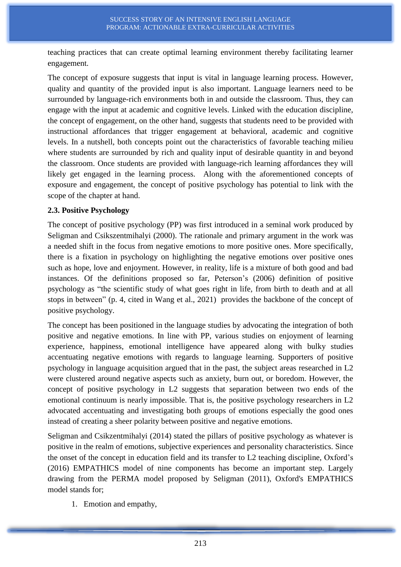teaching practices that can create optimal learning environment thereby facilitating learner engagement.

The concept of exposure suggests that input is vital in language learning process. However, quality and quantity of the provided input is also important. Language learners need to be surrounded by language-rich environments both in and outside the classroom. Thus, they can engage with the input at academic and cognitive levels. Linked with the education discipline, the concept of engagement, on the other hand, suggests that students need to be provided with instructional affordances that trigger engagement at behavioral, academic and cognitive levels. In a nutshell, both concepts point out the characteristics of favorable teaching milieu where students are surrounded by rich and quality input of desirable quantity in and beyond the classroom. Once students are provided with language-rich learning affordances they will likely get engaged in the learning process. Along with the aforementioned concepts of exposure and engagement, the concept of positive psychology has potential to link with the scope of the chapter at hand.

### **2.3. Positive Psychology**

The concept of positive psychology (PP) was first introduced in a seminal work produced by Seligman and Csikszentmihalyi (2000). The rationale and primary argument in the work was a needed shift in the focus from negative emotions to more positive ones. More specifically, there is a fixation in psychology on highlighting the negative emotions over positive ones such as hope, love and enjoyment. However, in reality, life is a mixture of both good and bad instances. Of the definitions proposed so far, Peterson's (2006) definition of positive psychology as "the scientific study of what goes right in life, from birth to death and at all stops in between" (p. 4, cited in Wang et al., 2021) provides the backbone of the concept of positive psychology.

The concept has been positioned in the language studies by advocating the integration of both positive and negative emotions. In line with PP, various studies on enjoyment of learning experience, happiness, emotional intelligence have appeared along with bulky studies accentuating negative emotions with regards to language learning. Supporters of positive psychology in language acquisition argued that in the past, the subject areas researched in L2 were clustered around negative aspects such as anxiety, burn out, or boredom. However, the concept of positive psychology in L2 suggests that separation between two ends of the emotional continuum is nearly impossible. That is, the positive psychology researchers in L2 advocated accentuating and investigating both groups of emotions especially the good ones instead of creating a sheer polarity between positive and negative emotions.

Seligman and Csikzentmihalyi (2014) stated the pillars of positive psychology as whatever is positive in the realm of emotions, subjective experiences and personality characteristics. Since the onset of the concept in education field and its transfer to L2 teaching discipline, Oxford's (2016) EMPATHICS model of nine components has become an important step. Largely drawing from the PERMA model proposed by Seligman (2011), Oxford's EMPATHICS model stands for;

1. Emotion and empathy,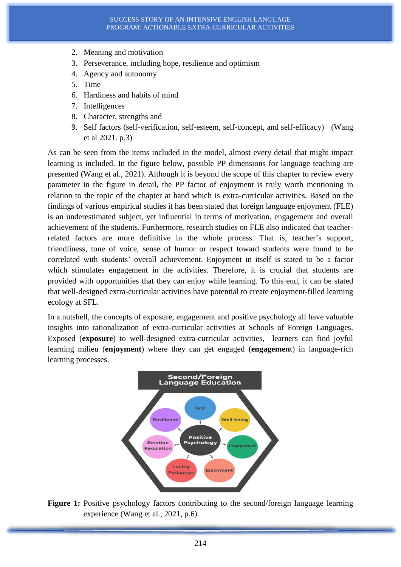- 2. Meaning and motivation
- 3. Perseverance, including hope, resilience and optimism
- 4. Agency and autonomy
- 5. Time
- 6. Hardiness and habits of mind
- 7. Intelligences
- 8. Character, strengths and
- 9. Self factors (self-verification, self-esteem, self-concept, and self-efficacy) (Wang et al 2021. p.3)

As can be seen from the items included in the model, almost every detail that might impact learning is included. In the figure below, possible PP dimensions for language teaching are presented (Wang et al., 2021). Although it is beyond the scope of this chapter to review every parameter in the figure in detail, the PP factor of enjoyment is truly worth mentioning in relation to the topic of the chapter at hand which is extra-curricular activities. Based on the findings of various empirical studies it has been stated that foreign language enjoyment (FLE) is an underestimated subject, yet influential in terms of motivation, engagement and overall achievement of the students. Furthermore, research studies on FLE also indicated that teacherrelated factors are more definitive in the whole process. That is, teacher's support, friendliness, tone of voice, sense of humor or respect toward students were found to be correlated with students' overall achievement. Enjoyment in itself is stated to be a factor which stimulates engagement in the activities. Therefore, it is crucial that students are provided with opportunities that they can enjoy while learning. To this end, it can be stated that well-designed extra-curricular activities have potential to create enjoyment-filled learning ecology at SFL.

In a nutshell, the concepts of exposure, engagement and positive psychology all have valuable insights into rationalization of extra-curricular activities at Schools of Foreign Languages. Exposed (**exposure**) to well-designed extra-curricular activities, learners can find joyful learning milieu (**enjoyment**) where they can get engaged (**engagemen**t) in language-rich learning processes.



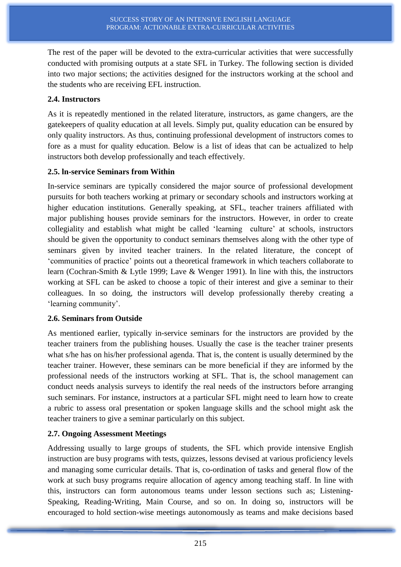The rest of the paper will be devoted to the extra-curricular activities that were successfully conducted with promising outputs at a state SFL in Turkey. The following section is divided into two major sections; the activities designed for the instructors working at the school and the students who are receiving EFL instruction.

### **2.4. Instructors**

As it is repeatedly mentioned in the related literature, instructors, as game changers, are the gatekeepers of quality education at all levels. Simply put, quality education can be ensured by only quality instructors. As thus, continuing professional development of instructors comes to fore as a must for quality education. Below is a list of ideas that can be actualized to help instructors both develop professionally and teach effectively.

### **2.5. ln-service Seminars from Within**

In-service seminars are typically considered the major source of professional development pursuits for both teachers working at primary or secondary schools and instructors working at higher education institutions. Generally speaking, at SFL, teacher trainers affiliated with major publishing houses provide seminars for the instructors. However, in order to create collegiality and establish what might be called 'learning culture' at schools, instructors should be given the opportunity to conduct seminars themselves along with the other type of seminars given by invited teacher trainers. In the related literature, the concept of 'communities of practice' points out a theoretical framework in which teachers collaborate to learn (Cochran-Smith & Lytle 1999; Lave & Wenger 1991). In line with this, the instructors working at SFL can be asked to choose a topic of their interest and give a seminar to their colleagues. In so doing, the instructors will develop professionally thereby creating a 'learning community'.

## **2.6. Seminars from Outside**

As mentioned earlier, typically in-service seminars for the instructors are provided by the teacher trainers from the publishing houses. Usually the case is the teacher trainer presents what s/he has on his/her professional agenda. That is, the content is usually determined by the teacher trainer. However, these seminars can be more beneficial if they are informed by the professional needs of the instructors working at SFL. That is, the school management can conduct needs analysis surveys to identify the real needs of the instructors before arranging such seminars. For instance, instructors at a particular SFL might need to learn how to create a rubric to assess oral presentation or spoken language skills and the school might ask the teacher trainers to give a seminar particularly on this subject.

## **2.7. Ongoing Assessment Meetings**

Addressing usually to large groups of students, the SFL which provide intensive English instruction are busy programs with tests, quizzes, lessons devised at various proficiency levels and managing some curricular details. That is, co-ordination of tasks and general flow of the work at such busy programs require allocation of agency among teaching staff. In line with this, instructors can form autonomous teams under lesson sections such as; Listening-Speaking, Reading-Writing, Main Course, and so on. In doing so, instructors will be encouraged to hold section-wise meetings autonomously as teams and make decisions based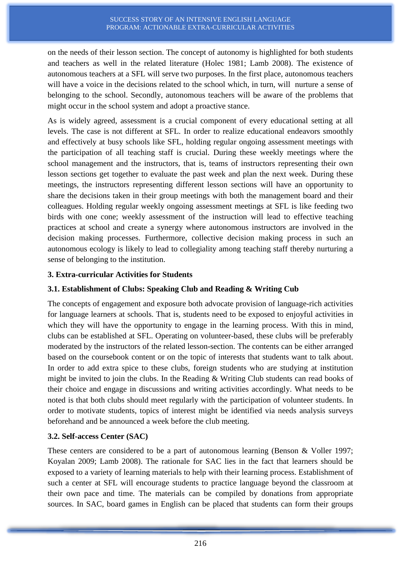on the needs of their lesson section. The concept of autonomy is highlighted for both students and teachers as well in the related literature (Holec 1981; Lamb 2008). The existence of autonomous teachers at a SFL will serve two purposes. In the first place, autonomous teachers will have a voice in the decisions related to the school which, in turn, will nurture a sense of belonging to the school. Secondly, autonomous teachers will be aware of the problems that might occur in the school system and adopt a proactive stance.

As is widely agreed, assessment is a crucial component of every educational setting at all levels. The case is not different at SFL. In order to realize educational endeavors smoothly and effectively at busy schools like SFL, holding regular ongoing assessment meetings with the participation of all teaching staff is crucial. During these weekly meetings where the school management and the instructors, that is, teams of instructors representing their own lesson sections get together to evaluate the past week and plan the next week. During these meetings, the instructors representing different lesson sections will have an opportunity to share the decisions taken in their group meetings with both the management board and their colleagues. Holding regular weekly ongoing assessment meetings at SFL is like feeding two birds with one cone; weekly assessment of the instruction will lead to effective teaching practices at school and create a synergy where autonomous instructors are involved in the decision making processes. Furthermore, collective decision making process in such an autonomous ecology is likely to lead to collegiality among teaching staff thereby nurturing a sense of belonging to the institution.

### **3. Extra-curricular Activities for Students**

### **3.1. Establishment of Clubs: Speaking Club and Reading & Writing Cub**

The concepts of engagement and exposure both advocate provision of language-rich activities for language learners at schools. That is, students need to be exposed to enjoyful activities in which they will have the opportunity to engage in the learning process. With this in mind, clubs can be established at SFL. Operating on volunteer-based, these clubs will be preferably moderated by the instructors of the related lesson-section. The contents can be either arranged based on the coursebook content or on the topic of interests that students want to talk about. In order to add extra spice to these clubs, foreign students who are studying at institution might be invited to join the clubs. In the Reading & Writing Club students can read books of their choice and engage in discussions and writing activities accordingly. What needs to be noted is that both clubs should meet regularly with the participation of volunteer students. In order to motivate students, topics of interest might be identified via needs analysis surveys beforehand and be announced a week before the club meeting.

#### **3.2. Self-access Center (SAC)**

These centers are considered to be a part of autonomous learning (Benson & Voller 1997; Koyalan 2009; Lamb 2008). The rationale for SAC lies in the fact that learners should be exposed to a variety of learning materials to help with their learning process. Establishment of such a center at SFL will encourage students to practice language beyond the classroom at their own pace and time. The materials can be compiled by donations from appropriate sources. In SAC, board games in English can be placed that students can form their groups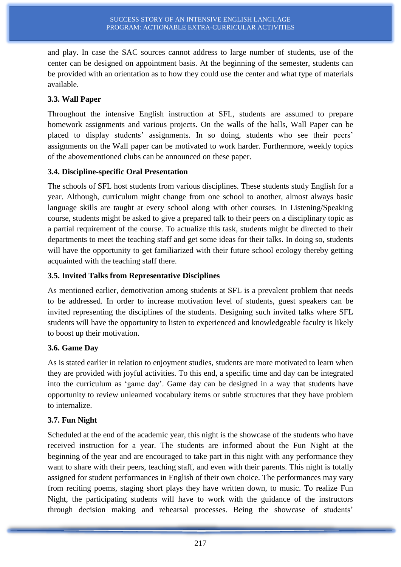and play. In case the SAC sources cannot address to large number of students, use of the center can be designed on appointment basis. At the beginning of the semester, students can be provided with an orientation as to how they could use the center and what type of materials available.

### **3.3. Wall Paper**

Throughout the intensive English instruction at SFL, students are assumed to prepare homework assignments and various projects. On the walls of the halls, Wall Paper can be placed to display students' assignments. In so doing, students who see their peers' assignments on the Wall paper can be motivated to work harder. Furthermore, weekly topics of the abovementioned clubs can be announced on these paper.

### **3.4. Discipline-specific Oral Presentation**

The schools of SFL host students from various disciplines. These students study English for a year. Although, curriculum might change from one school to another, almost always basic language skills are taught at every school along with other courses. In Listening/Speaking course, students might be asked to give a prepared talk to their peers on a disciplinary topic as a partial requirement of the course. To actualize this task, students might be directed to their departments to meet the teaching staff and get some ideas for their talks. In doing so, students will have the opportunity to get familiarized with their future school ecology thereby getting acquainted with the teaching staff there.

## **3.5. Invited Talks from Representative Disciplines**

As mentioned earlier, demotivation among students at SFL is a prevalent problem that needs to be addressed. In order to increase motivation level of students, guest speakers can be invited representing the disciplines of the students. Designing such invited talks where SFL students will have the opportunity to listen to experienced and knowledgeable faculty is likely to boost up their motivation.

## **3.6. Game Day**

As is stated earlier in relation to enjoyment studies, students are more motivated to learn when they are provided with joyful activities. To this end, a specific time and day can be integrated into the curriculum as 'game day'. Game day can be designed in a way that students have opportunity to review unlearned vocabulary items or subtle structures that they have problem to internalize.

## **3.7. Fun Night**

Scheduled at the end of the academic year, this night is the showcase of the students who have received instruction for a year. The students are informed about the Fun Night at the beginning of the year and are encouraged to take part in this night with any performance they want to share with their peers, teaching staff, and even with their parents. This night is totally assigned for student performances in English of their own choice. The performances may vary from reciting poems, staging short plays they have written down, to music. To realize Fun Night, the participating students will have to work with the guidance of the instructors through decision making and rehearsal processes. Being the showcase of students'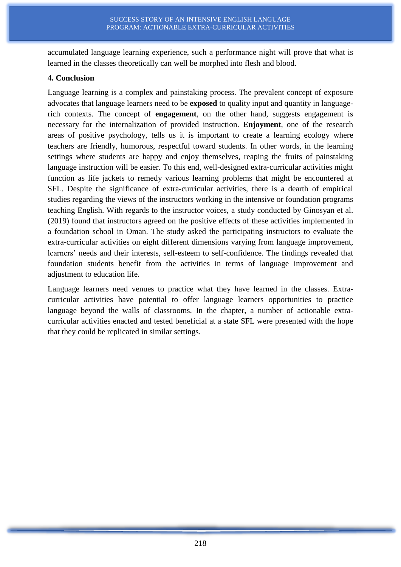accumulated language learning experience, such a performance night will prove that what is learned in the classes theoretically can well be morphed into flesh and blood.

#### **4. Conclusion**

Language learning is a complex and painstaking process. The prevalent concept of exposure advocates that language learners need to be **exposed** to quality input and quantity in languagerich contexts. The concept of **engagement**, on the other hand, suggests engagement is necessary for the internalization of provided instruction. **Enjoyment**, one of the research areas of positive psychology, tells us it is important to create a learning ecology where teachers are friendly, humorous, respectful toward students. In other words, in the learning settings where students are happy and enjoy themselves, reaping the fruits of painstaking language instruction will be easier. To this end, well-designed extra-curricular activities might function as life jackets to remedy various learning problems that might be encountered at SFL. Despite the significance of extra-curricular activities, there is a dearth of empirical studies regarding the views of the instructors working in the intensive or foundation programs teaching English. With regards to the instructor voices, a study conducted by Ginosyan et al. (2019) found that instructors agreed on the positive effects of these activities implemented in a foundation school in Oman. The study asked the participating instructors to evaluate the extra-curricular activities on eight different dimensions varying from language improvement, learners' needs and their interests, self-esteem to self-confidence. The findings revealed that foundation students benefit from the activities in terms of language improvement and adjustment to education life.

Language learners need venues to practice what they have learned in the classes. Extracurricular activities have potential to offer language learners opportunities to practice language beyond the walls of classrooms. In the chapter, a number of actionable extracurricular activities enacted and tested beneficial at a state SFL were presented with the hope that they could be replicated in similar settings.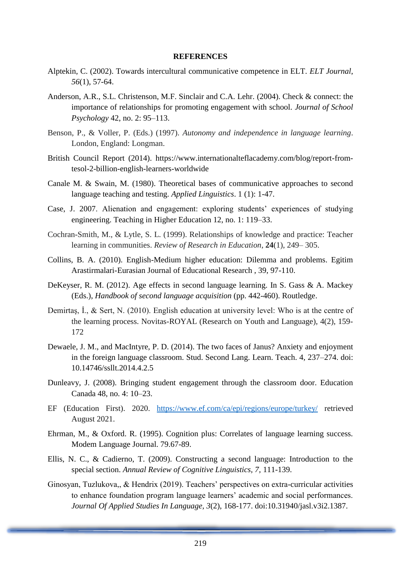#### **REFERENCES**

- Alptekin, C. (2002). Towards intercultural communicative competence in ELT. *ELT Journal*, *56*(1), 57-64.
- Anderson, A.R., S.L. Christenson, M.F. Sinclair and C.A. Lehr. (2004). Check & connect: the importance of relationships for promoting engagement with school. *Journal of School Psychology* 42, no. 2: 95–113.
- Benson, P., & Voller, P. (Eds.) (1997). *Autonomy and independence in language learning*. London, England: Longman.
- British Council Report (2014). https://www.internationalteflacademy.com/blog/report-fromtesol-2-billion-english-learners-worldwide
- Canale M. & Swain, M. (1980). Theoretical bases of communicative approaches to second language teaching and testing. *Applied Linguistics*. 1 (1): 1-47.
- Case, J. 2007. Alienation and engagement: exploring students' experiences of studying engineering. Teaching in Higher Education 12, no. 1: 119–33.
- Cochran-Smith, M., & Lytle, S. L. (1999). Relationships of knowledge and practice: Teacher learning in communities. *Review of Research in Education*, **24**(1), 249– 305.
- Collins, B. A. (2010). English-Medium higher education: Dilemma and problems. Egitim Arastirmalari-Eurasian Journal of Educational Research , 39, 97-110.
- DeKeyser, R. M. (2012). Age effects in second language learning. In S. Gass & A. Mackey (Eds.), *Handbook of second language acquisition* (pp. 442-460). Routledge.
- Demirtaş, İ., & Sert, N. (2010). English education at university level: Who is at the centre of the learning process. Novitas-ROYAL (Research on Youth and Language), 4(2), 159- 172
- Dewaele, J. M., and MacIntyre, P. D. (2014). The two faces of Janus? Anxiety and enjoyment in the foreign language classroom. Stud. Second Lang. Learn. Teach. 4, 237–274. doi: 10.14746/ssllt.2014.4.2.5
- Dunleavy, J. (2008). Bringing student engagement through the classroom door. Education Canada 48, no. 4: 10–23.
- EF (Education First). 2020. <https://www.ef.com/ca/epi/regions/europe/turkey/> retrieved August 2021.
- Ehrman, M., & Oxford. R. (1995). Cognition plus: Correlates of language learning success. Modem Language Journal. 79.67-89.
- Ellis, N. C., & Cadierno, T. (2009). Constructing a second language: Introduction to the special section. *Annual Review of Cognitive Linguistics, 7,* 111-139.
- Ginosyan, Tuzlukova,, & Hendrix (2019). Teachers' perspectives on extra-curricular activities to enhance foundation program language learners' academic and social performances. *Journal Of Applied Studies In Language, 3*(2), 168-177. doi:10.31940/jasl.v3i2.1387.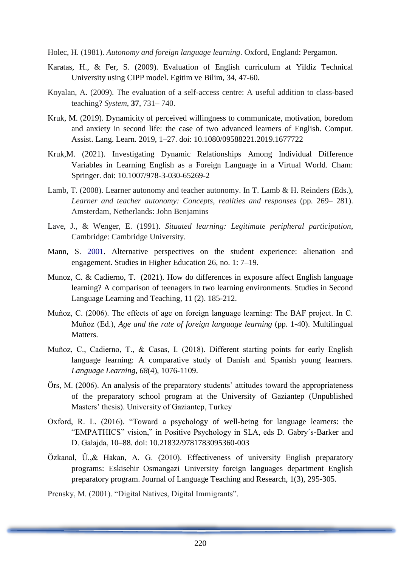Holec, H. (1981). *Autonomy and foreign language learning*. Oxford, England: Pergamon.

- Karatas, H., & Fer, S. (2009). Evaluation of English curriculum at Yildiz Technical University using CIPP model. Egitim ve Bilim, 34, 47-60.
- Koyalan, A. (2009). The evaluation of a self-access centre: A useful addition to class-based teaching? *System*, **37**, 731– 740.
- Kruk, M. (2019). Dynamicity of perceived willingness to communicate, motivation, boredom and anxiety in second life: the case of two advanced learners of English. Comput. Assist. Lang. Learn. 2019, 1–27. doi: 10.1080/09588221.2019.1677722
- Kruk,M. (2021). Investigating Dynamic Relationships Among Individual Difference Variables in Learning English as a Foreign Language in a Virtual World. Cham: Springer. doi: 10.1007/978-3-030-65269-2
- Lamb, T. (2008). Learner autonomy and teacher autonomy. In T. Lamb & H. Reinders (Eds.), *Learner and teacher autonomy: Concepts, realities and responses* (pp. 269– 281). Amsterdam, Netherlands: John Benjamins
- Lave, J., & Wenger, E. (1991). *Situated learning: Legitimate peripheral participation*, Cambridge: Cambridge University.
- Mann, S. 2001. Alternative perspectives on the student experience: alienation and engagement. Studies in Higher Education 26, no. 1: 7–19.
- Munoz, C. & Cadierno, T. (2021). How do differences in exposure affect English language learning? A comparison of teenagers in two learning environments. Studies in Second Language Learning and Teaching, 11 (2). 185-212.
- Muñoz, C. (2006). The effects of age on foreign language learning: The BAF project. In C. Muñoz (Ed.), *Age and the rate of foreign language learning* (pp. 1-40). Multilingual Matters.
- Muñoz, C., Cadierno, T., & Casas, I. (2018). Different starting points for early English language learning: A comparative study of Danish and Spanish young learners. *Language Learning*, *68*(4), 1076-1109.
- Örs, M. (2006). An analysis of the preparatory students' attitudes toward the appropriateness of the preparatory school program at the University of Gaziantep (Unpublished Masters' thesis). University of Gaziantep, Turkey
- Oxford, R. L. (2016). "Toward a psychology of well-being for language learners: the "EMPATHICS" vision," in Positive Psychology in SLA, eds D. Gabry´s-Barker and D. Gałajda, 10–88. doi: 10.21832/9781783095360-003
- Özkanal, Ü.,& Hakan, A. G. (2010). Effectiveness of university English preparatory programs: Eskisehir Osmangazi University foreign languages department English preparatory program. Journal of Language Teaching and Research, 1(3), 295-305.

Prensky, M. (2001). "Digital Natives, Digital Immigrants".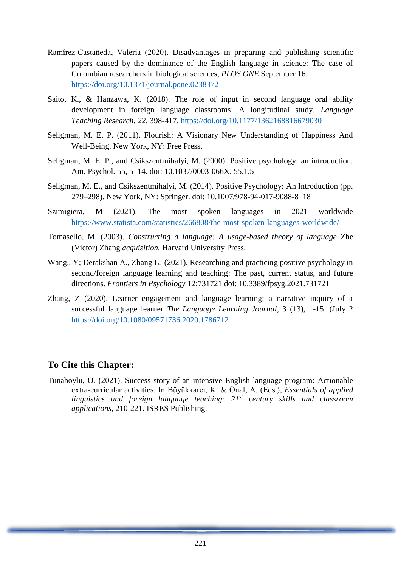- Ramírez-Castañeda, Valeria (2020). Disadvantages in preparing and publishing scientific papers caused by the dominance of the English language in science: The case of Colombian researchers in biological sciences, *PLOS ONE* September 16, <https://doi.org/10.1371/journal.pone.0238372>
- Saito, K., & Hanzawa, K. (2018). The role of input in second language oral ability development in foreign language classrooms: A longitudinal study. *Language Teaching Research*, *22,* 398-417.<https://doi.org/10.1177/1362168816679030>
- Seligman, M. E. P. (2011). Flourish: A Visionary New Understanding of Happiness And Well-Being. New York, NY: Free Press.
- Seligman, M. E. P., and Csikszentmihalyi, M. (2000). Positive psychology: an introduction. Am. Psychol. 55, 5–14. doi: 10.1037/0003-066X. 55.1.5
- Seligman, M. E., and Csikszentmihalyi, M. (2014). Positive Psychology: An Introduction (pp. 279–298). New York, NY: Springer. doi: 10.1007/978-94-017-9088-8\_18
- Szimigiera, M (2021). The most spoken languages in 2021 worldwide <https://www.statista.com/statistics/266808/the-most-spoken-languages-worldwide/>
- Tomasello, M. (2003). *Constructing a language: A usage-based theory of language* Zhe (Victor) Zhang *acquisition.* Harvard University Press.
- Wang., Y; Derakshan A., Zhang LJ (2021). Researching and practicing positive psychology in second/foreign language learning and teaching: The past, current status, and future directions. *Frontiers in Psychology* 12:731721 doi: 10.3389/fpsyg.2021.731721
- Zhang, Z (2020). Learner engagement and language learning: a narrative inquiry of a successful language learner *The Language Learning Journal*, 3 (13), 1-15. (July 2 <https://doi.org/10.1080/09571736.2020.1786712>

## **To Cite this Chapter:**

Tunaboylu, O. (2021). Success story of an intensive English language program: Actionable extra-curricular activities. In Büyükkarcı, K. & Önal, A. (Eds.), *Essentials of applied linguistics and foreign language teaching: 21st century skills and classroom applications*, 210-221. ISRES Publishing.